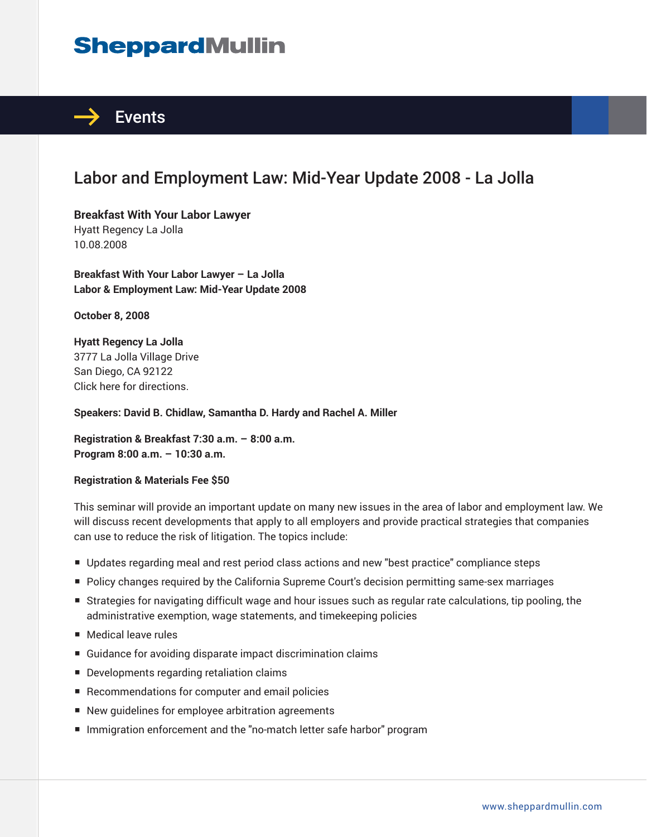# **SheppardMullin**



# Labor and Employment Law: Mid-Year Update 2008 - La Jolla

**Breakfast With Your Labor Lawyer** Hyatt Regency La Jolla 10.08.2008

**Breakfast With Your Labor Lawyer – La Jolla Labor & Employment Law: Mid-Year Update 2008** 

**October 8, 2008** 

**Hyatt Regency La Jolla** 3777 La Jolla Village Drive San Diego, CA 92122 Click here for directions.

**Speakers: David B. Chidlaw, Samantha D. Hardy and Rachel A. Miller**

**Registration & Breakfast 7:30 a.m. – 8:00 a.m. Program 8:00 a.m. – 10:30 a.m.**

#### **Registration & Materials Fee \$50**

This seminar will provide an important update on many new issues in the area of labor and employment law. We will discuss recent developments that apply to all employers and provide practical strategies that companies can use to reduce the risk of litigation. The topics include:

- Updates regarding meal and rest period class actions and new "best practice" compliance steps
- Policy changes required by the California Supreme Court's decision permitting same-sex marriages
- Strategies for navigating difficult wage and hour issues such as regular rate calculations, tip pooling, the administrative exemption, wage statements, and timekeeping policies
- Medical leave rules
- Guidance for avoiding disparate impact discrimination claims
- Developments regarding retaliation claims
- Recommendations for computer and email policies
- New quidelines for employee arbitration agreements
- Immigration enforcement and the "no-match letter safe harbor" program